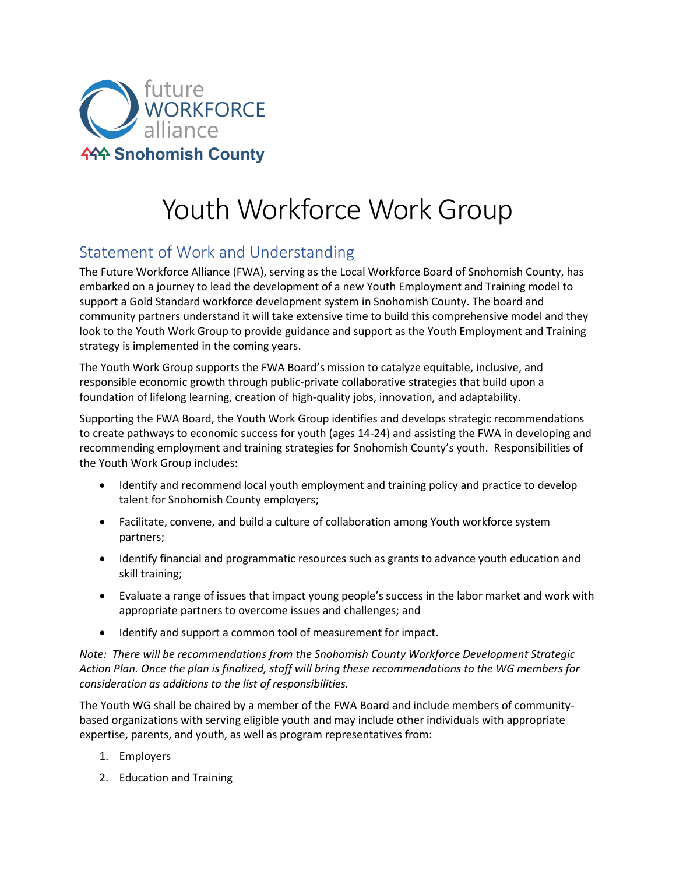

## Youth Workforce Work Group

## Statement of Work and Understanding

The Future Workforce Alliance (FWA), serving as the Local Workforce Board of Snohomish County, has embarked on a journey to lead the development of a new Youth Employment and Training model to support a Gold Standard workforce development system in Snohomish County. The board and community partners understand it will take extensive time to build this comprehensive model and they look to the Youth Work Group to provide guidance and support as the Youth Employment and Training strategy is implemented in the coming years.

The Youth Work Group supports the FWA Board's mission to catalyze equitable, inclusive, and responsible economic growth through public-private collaborative strategies that build upon a foundation of lifelong learning, creation of high-quality jobs, innovation, and adaptability.

Supporting the FWA Board, the Youth Work Group identifies and develops strategic recommendations to create pathways to economic success for youth (ages 14-24) and assisting the FWA in developing and recommending employment and training strategies for Snohomish County's youth. Responsibilities of the Youth Work Group includes:

- Identify and recommend local youth employment and training policy and practice to develop talent for Snohomish County employers;
- Facilitate, convene, and build a culture of collaboration among Youth workforce system partners;
- Identify financial and programmatic resources such as grants to advance youth education and skill training;
- Evaluate a range of issues that impact young people's success in the labor market and work with appropriate partners to overcome issues and challenges; and
- Identify and support a common tool of measurement for impact.

*Note: There will be recommendations from the Snohomish County Workforce Development Strategic Action Plan. Once the plan is finalized, staff will bring these recommendations to the WG members for consideration as additions to the list of responsibilities.*

The Youth WG shall be chaired by a member of the FWA Board and include members of communitybased organizations with serving eligible youth and may include other individuals with appropriate expertise, parents, and youth, as well as program representatives from:

- 1. Employers
- 2. Education and Training